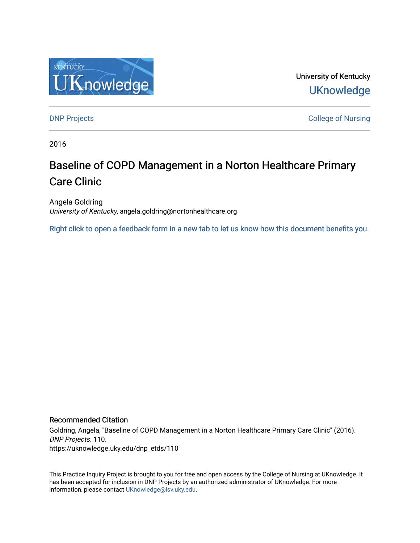

University of Kentucky **UKnowledge** 

[DNP Projects](https://uknowledge.uky.edu/dnp_etds) **College of Nursing** 

2016

# Baseline of COPD Management in a Norton Healthcare Primary Care Clinic

Angela Goldring University of Kentucky, angela.goldring@nortonhealthcare.org

[Right click to open a feedback form in a new tab to let us know how this document benefits you.](https://uky.az1.qualtrics.com/jfe/form/SV_9mq8fx2GnONRfz7)

#### Recommended Citation

Goldring, Angela, "Baseline of COPD Management in a Norton Healthcare Primary Care Clinic" (2016). DNP Projects. 110. https://uknowledge.uky.edu/dnp\_etds/110

This Practice Inquiry Project is brought to you for free and open access by the College of Nursing at UKnowledge. It has been accepted for inclusion in DNP Projects by an authorized administrator of UKnowledge. For more information, please contact [UKnowledge@lsv.uky.edu](mailto:UKnowledge@lsv.uky.edu).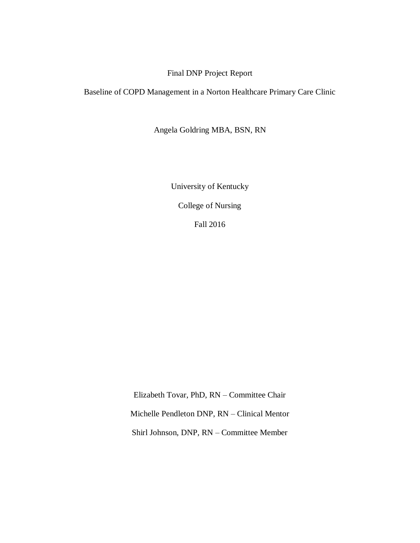### Final DNP Project Report

Baseline of COPD Management in a Norton Healthcare Primary Care Clinic

Angela Goldring MBA, BSN, RN

University of Kentucky College of Nursing Fall 2016

Elizabeth Tovar, PhD, RN – Committee Chair Michelle Pendleton DNP, RN – Clinical Mentor Shirl Johnson, DNP, RN – Committee Member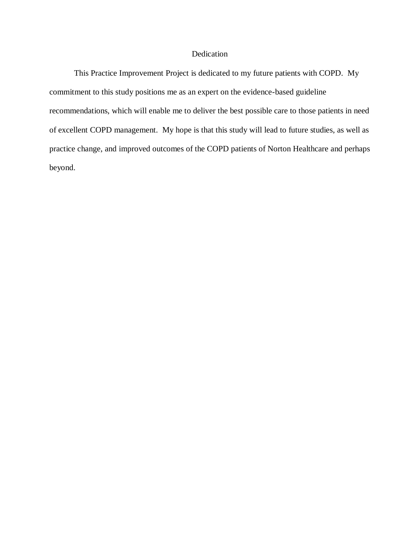#### Dedication

This Practice Improvement Project is dedicated to my future patients with COPD. My commitment to this study positions me as an expert on the evidence-based guideline recommendations, which will enable me to deliver the best possible care to those patients in need of excellent COPD management. My hope is that this study will lead to future studies, as well as practice change, and improved outcomes of the COPD patients of Norton Healthcare and perhaps beyond.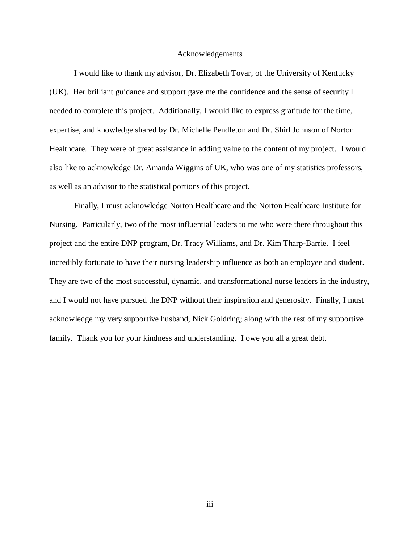#### Acknowledgements

I would like to thank my advisor, Dr. Elizabeth Tovar, of the University of Kentucky (UK). Her brilliant guidance and support gave me the confidence and the sense of security I needed to complete this project. Additionally, I would like to express gratitude for the time, expertise, and knowledge shared by Dr. Michelle Pendleton and Dr. Shirl Johnson of Norton Healthcare. They were of great assistance in adding value to the content of my project. I would also like to acknowledge Dr. Amanda Wiggins of UK, who was one of my statistics professors, as well as an advisor to the statistical portions of this project.

Finally, I must acknowledge Norton Healthcare and the Norton Healthcare Institute for Nursing. Particularly, two of the most influential leaders to me who were there throughout this project and the entire DNP program, Dr. Tracy Williams, and Dr. Kim Tharp-Barrie. I feel incredibly fortunate to have their nursing leadership influence as both an employee and student. They are two of the most successful, dynamic, and transformational nurse leaders in the industry, and I would not have pursued the DNP without their inspiration and generosity. Finally, I must acknowledge my very supportive husband, Nick Goldring; along with the rest of my supportive family. Thank you for your kindness and understanding. I owe you all a great debt.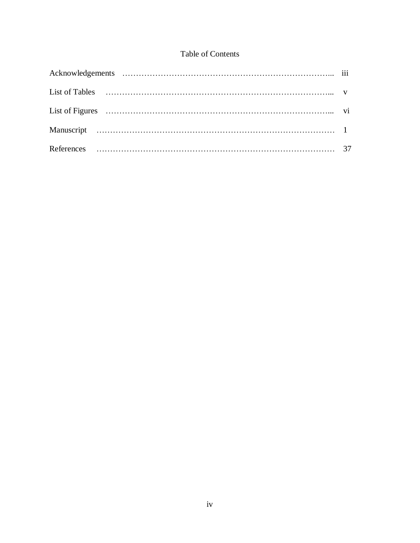### Table of Contents

| List of Tables (a) the contract of Tables (a) and the contract of Tables (c) and the contract of the contract of the contract of the contract of the contract of the contract of the contract of the contract of the contract |  |
|-------------------------------------------------------------------------------------------------------------------------------------------------------------------------------------------------------------------------------|--|
|                                                                                                                                                                                                                               |  |
|                                                                                                                                                                                                                               |  |
|                                                                                                                                                                                                                               |  |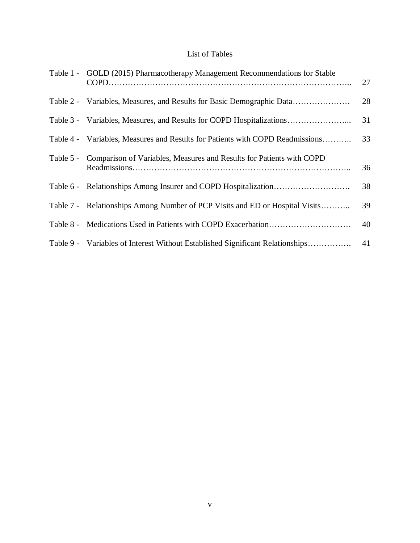### List of Tables

| Table 1 - GOLD (2015) Pharmacotherapy Management Recommendations for Stable    | 27 |
|--------------------------------------------------------------------------------|----|
| Table 2 - Variables, Measures, and Results for Basic Demographic Data          | 28 |
| Table 3 - Variables, Measures, and Results for COPD Hospitalizations           | 31 |
| Table 4 - Variables, Measures and Results for Patients with COPD Readmissions  | 33 |
| Table 5 - Comparison of Variables, Measures and Results for Patients with COPD | 36 |
|                                                                                | 38 |
| Table 7 - Relationships Among Number of PCP Visits and ED or Hospital Visits   | 39 |
|                                                                                | 40 |
| Table 9 - Variables of Interest Without Established Significant Relationships  | 41 |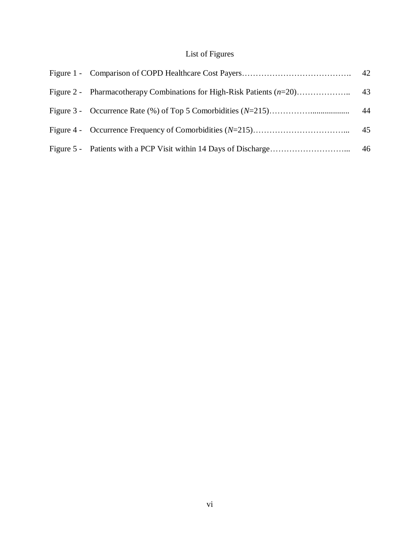## List of Figures

|  | 43 |
|--|----|
|  | 44 |
|  | 45 |
|  |    |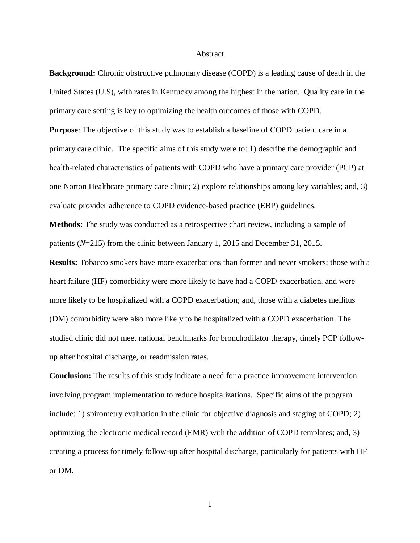#### Abstract

**Background:** Chronic obstructive pulmonary disease (COPD) is a leading cause of death in the United States (U.S), with rates in Kentucky among the highest in the nation. Quality care in the primary care setting is key to optimizing the health outcomes of those with COPD.

**Purpose**: The objective of this study was to establish a baseline of COPD patient care in a primary care clinic. The specific aims of this study were to: 1) describe the demographic and health-related characteristics of patients with COPD who have a primary care provider (PCP) at one Norton Healthcare primary care clinic; 2) explore relationships among key variables; and, 3) evaluate provider adherence to COPD evidence-based practice (EBP) guidelines.

**Methods:** The study was conducted as a retrospective chart review, including a sample of patients (*N*=215) from the clinic between January 1, 2015 and December 31, 2015.

**Results:** Tobacco smokers have more exacerbations than former and never smokers; those with a heart failure (HF) comorbidity were more likely to have had a COPD exacerbation, and were more likely to be hospitalized with a COPD exacerbation; and, those with a diabetes mellitus (DM) comorbidity were also more likely to be hospitalized with a COPD exacerbation. The studied clinic did not meet national benchmarks for bronchodilator therapy, timely PCP followup after hospital discharge, or readmission rates.

**Conclusion:** The results of this study indicate a need for a practice improvement intervention involving program implementation to reduce hospitalizations. Specific aims of the program include: 1) spirometry evaluation in the clinic for objective diagnosis and staging of COPD; 2) optimizing the electronic medical record (EMR) with the addition of COPD templates; and, 3) creating a process for timely follow-up after hospital discharge, particularly for patients with HF or DM.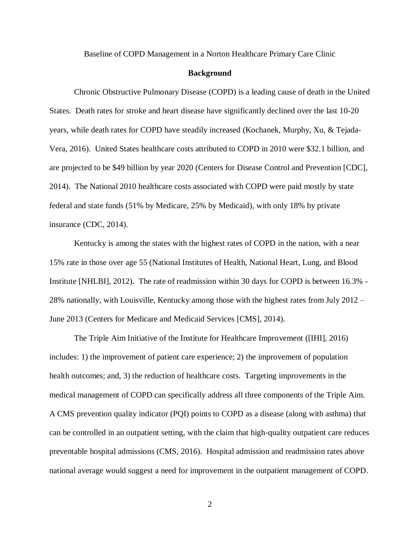Baseline of COPD Management in a Norton Healthcare Primary Care Clinic

#### **Background**

Chronic Obstructive Pulmonary Disease (COPD) is a leading cause of death in the United States. Death rates for stroke and heart disease have significantly declined over the last 10-20 years, while death rates for COPD have steadily increased (Kochanek, Murphy, Xu, & Tejada-Vera, 2016). United States healthcare costs attributed to COPD in 2010 were \$32.1 billion, and are projected to be \$49 billion by year 2020 (Centers for Disease Control and Prevention [CDC], 2014). The National 2010 healthcare costs associated with COPD were paid mostly by state federal and state funds (51% by Medicare, 25% by Medicaid), with only 18% by private insurance (CDC, 2014).

Kentucky is among the states with the highest rates of COPD in the nation, with a near 15% rate in those over age 55 (National Institutes of Health, National Heart, Lung, and Blood Institute [NHLBI], 2012). The rate of readmission within 30 days for COPD is between 16.3% - 28% nationally, with Louisville, Kentucky among those with the highest rates from July 2012 – June 2013 (Centers for Medicare and Medicaid Services [CMS], 2014).

The Triple Aim Initiative of the Institute for Healthcare Improvement ([IHI], 2016) includes: 1) the improvement of patient care experience; 2) the improvement of population health outcomes; and, 3) the reduction of healthcare costs. Targeting improvements in the medical management of COPD can specifically address all three components of the Triple Aim. A CMS prevention quality indicator (PQI) points to COPD as a disease (along with asthma) that can be controlled in an outpatient setting, with the claim that high-quality outpatient care reduces preventable hospital admissions (CMS, 2016). Hospital admission and readmission rates above national average would suggest a need for improvement in the outpatient management of COPD.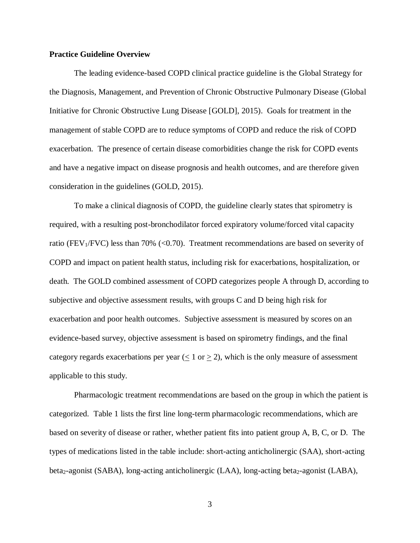#### **Practice Guideline Overview**

The leading evidence-based COPD clinical practice guideline is the Global Strategy for the Diagnosis, Management, and Prevention of Chronic Obstructive Pulmonary Disease (Global Initiative for Chronic Obstructive Lung Disease [GOLD], 2015). Goals for treatment in the management of stable COPD are to reduce symptoms of COPD and reduce the risk of COPD exacerbation. The presence of certain disease comorbidities change the risk for COPD events and have a negative impact on disease prognosis and health outcomes, and are therefore given consideration in the guidelines (GOLD, 2015).

To make a clinical diagnosis of COPD, the guideline clearly states that spirometry is required, with a resulting post-bronchodilator forced expiratory volume/forced vital capacity ratio (FEV<sub>1</sub>/FVC) less than 70% ( $\langle 0.70 \rangle$ ). Treatment recommendations are based on severity of COPD and impact on patient health status, including risk for exacerbations, hospitalization, or death. The GOLD combined assessment of COPD categorizes people A through D, according to subjective and objective assessment results, with groups C and D being high risk for exacerbation and poor health outcomes. Subjective assessment is measured by scores on an evidence-based survey, objective assessment is based on spirometry findings, and the final category regards exacerbations per year ( $\leq 1$  or  $\geq 2$ ), which is the only measure of assessment applicable to this study.

Pharmacologic treatment recommendations are based on the group in which the patient is categorized. Table 1 lists the first line long-term pharmacologic recommendations, which are based on severity of disease or rather, whether patient fits into patient group A, B, C, or D. The types of medications listed in the table include: short-acting anticholinergic (SAA), short-acting beta<sub>2</sub>-agonist (SABA), long-acting anticholinergic (LAA), long-acting beta<sub>2</sub>-agonist (LABA),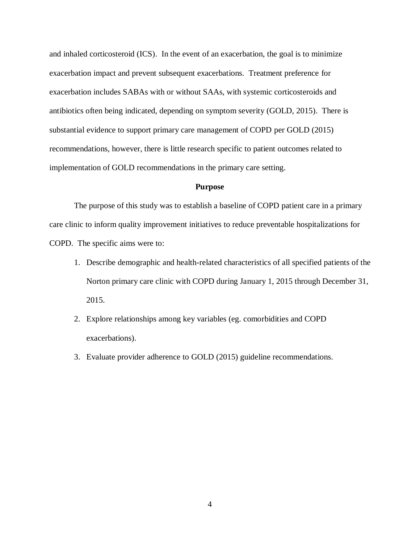and inhaled corticosteroid (ICS). In the event of an exacerbation, the goal is to minimize exacerbation impact and prevent subsequent exacerbations. Treatment preference for exacerbation includes SABAs with or without SAAs, with systemic corticosteroids and antibiotics often being indicated, depending on symptom severity (GOLD, 2015). There is substantial evidence to support primary care management of COPD per GOLD (2015) recommendations, however, there is little research specific to patient outcomes related to implementation of GOLD recommendations in the primary care setting.

#### **Purpose**

The purpose of this study was to establish a baseline of COPD patient care in a primary care clinic to inform quality improvement initiatives to reduce preventable hospitalizations for COPD. The specific aims were to:

- 1. Describe demographic and health-related characteristics of all specified patients of the Norton primary care clinic with COPD during January 1, 2015 through December 31, 2015.
- 2. Explore relationships among key variables (eg. comorbidities and COPD exacerbations).
- 3. Evaluate provider adherence to GOLD (2015) guideline recommendations.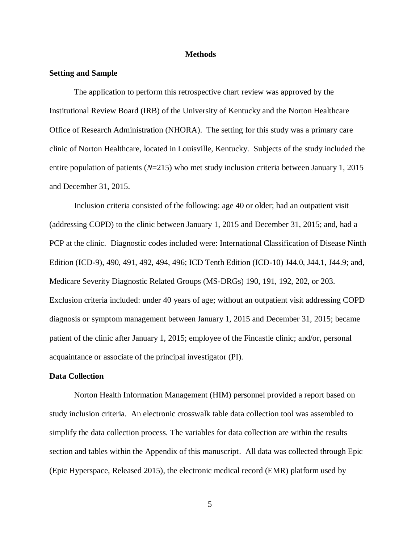#### **Methods**

#### **Setting and Sample**

The application to perform this retrospective chart review was approved by the Institutional Review Board (IRB) of the University of Kentucky and the Norton Healthcare Office of Research Administration (NHORA). The setting for this study was a primary care clinic of Norton Healthcare, located in Louisville, Kentucky. Subjects of the study included the entire population of patients (*N*=215) who met study inclusion criteria between January 1, 2015 and December 31, 2015.

Inclusion criteria consisted of the following: age 40 or older; had an outpatient visit (addressing COPD) to the clinic between January 1, 2015 and December 31, 2015; and, had a PCP at the clinic. Diagnostic codes included were: International Classification of Disease Ninth Edition (ICD-9), 490, 491, 492, 494, 496; ICD Tenth Edition (ICD-10) J44.0, J44.1, J44.9; and, Medicare Severity Diagnostic Related Groups (MS-DRGs) 190, 191, 192, 202, or 203. Exclusion criteria included: under 40 years of age; without an outpatient visit addressing COPD diagnosis or symptom management between January 1, 2015 and December 31, 2015; became patient of the clinic after January 1, 2015; employee of the Fincastle clinic; and/or, personal acquaintance or associate of the principal investigator (PI).

#### **Data Collection**

Norton Health Information Management (HIM) personnel provided a report based on study inclusion criteria. An electronic crosswalk table data collection tool was assembled to simplify the data collection process. The variables for data collection are within the results section and tables within the Appendix of this manuscript. All data was collected through Epic (Epic Hyperspace, Released 2015), the electronic medical record (EMR) platform used by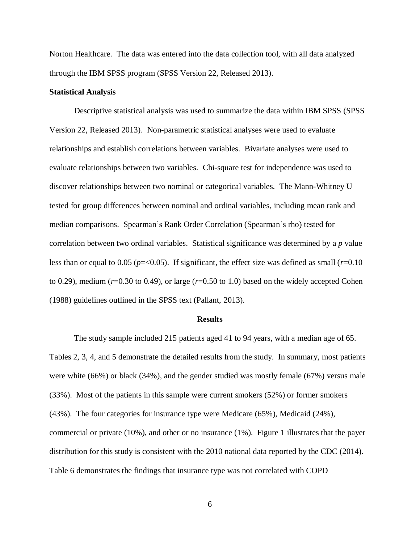Norton Healthcare. The data was entered into the data collection tool, with all data analyzed through the IBM SPSS program (SPSS Version 22, Released 2013).

#### **Statistical Analysis**

Descriptive statistical analysis was used to summarize the data within IBM SPSS (SPSS Version 22, Released 2013). Non-parametric statistical analyses were used to evaluate relationships and establish correlations between variables. Bivariate analyses were used to evaluate relationships between two variables. Chi-square test for independence was used to discover relationships between two nominal or categorical variables. The Mann-Whitney U tested for group differences between nominal and ordinal variables, including mean rank and median comparisons. Spearman's Rank Order Correlation (Spearman's rho) tested for correlation between two ordinal variables. Statistical significance was determined by a *p* value less than or equal to 0.05 ( $p = 0.05$ ). If significant, the effect size was defined as small ( $r = 0.10$ ) to 0.29), medium (*r*=0.30 to 0.49), or large (*r*=0.50 to 1.0) based on the widely accepted Cohen (1988) guidelines outlined in the SPSS text (Pallant, 2013).

#### **Results**

The study sample included 215 patients aged 41 to 94 years, with a median age of 65. Tables 2, 3, 4, and 5 demonstrate the detailed results from the study. In summary, most patients were white (66%) or black (34%), and the gender studied was mostly female (67%) versus male (33%). Most of the patients in this sample were current smokers (52%) or former smokers (43%). The four categories for insurance type were Medicare (65%), Medicaid (24%), commercial or private (10%), and other or no insurance (1%). Figure 1 illustrates that the payer distribution for this study is consistent with the 2010 national data reported by the CDC (2014). Table 6 demonstrates the findings that insurance type was not correlated with COPD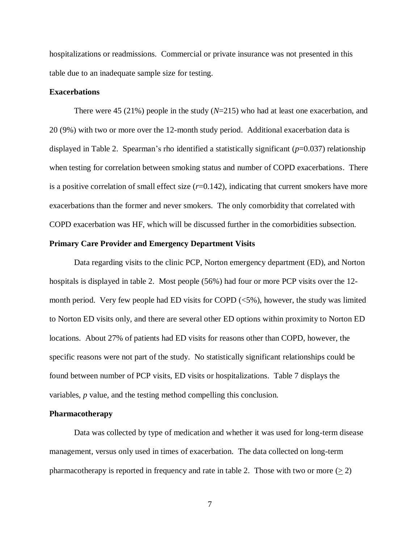hospitalizations or readmissions. Commercial or private insurance was not presented in this table due to an inadequate sample size for testing.

#### **Exacerbations**

There were 45 (21%) people in the study (*N*=215) who had at least one exacerbation, and 20 (9%) with two or more over the 12-month study period. Additional exacerbation data is displayed in Table 2. Spearman's rho identified a statistically significant (*p*=0.037) relationship when testing for correlation between smoking status and number of COPD exacerbations. There is a positive correlation of small effect size  $(r=0.142)$ , indicating that current smokers have more exacerbations than the former and never smokers. The only comorbidity that correlated with COPD exacerbation was HF, which will be discussed further in the comorbidities subsection.

#### **Primary Care Provider and Emergency Department Visits**

Data regarding visits to the clinic PCP, Norton emergency department (ED), and Norton hospitals is displayed in table 2. Most people (56%) had four or more PCP visits over the 12 month period. Very few people had ED visits for COPD  $(\leq 5\%)$ , however, the study was limited to Norton ED visits only, and there are several other ED options within proximity to Norton ED locations. About 27% of patients had ED visits for reasons other than COPD, however, the specific reasons were not part of the study. No statistically significant relationships could be found between number of PCP visits, ED visits or hospitalizations. Table 7 displays the variables, *p* value, and the testing method compelling this conclusion.

#### **Pharmacotherapy**

Data was collected by type of medication and whether it was used for long-term disease management, versus only used in times of exacerbation. The data collected on long-term pharmacotherapy is reported in frequency and rate in table 2. Those with two or more ( $\geq$  2)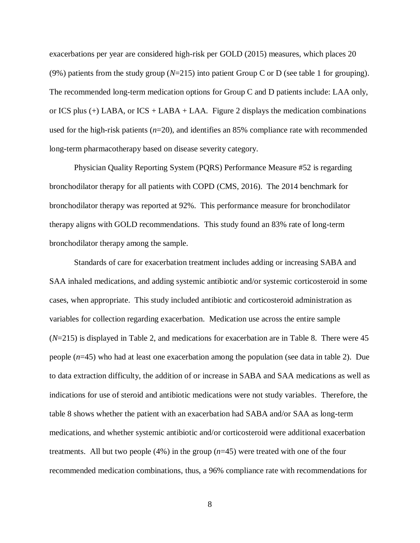exacerbations per year are considered high-risk per GOLD (2015) measures, which places 20 (9%) patients from the study group (*N*=215) into patient Group C or D (see table 1 for grouping). The recommended long-term medication options for Group C and D patients include: LAA only, or ICS plus  $(+)$  LABA, or ICS + LABA + LAA. Figure 2 displays the medication combinations used for the high-risk patients (*n*=20), and identifies an 85% compliance rate with recommended long-term pharmacotherapy based on disease severity category.

Physician Quality Reporting System (PQRS) Performance Measure #52 is regarding bronchodilator therapy for all patients with COPD (CMS, 2016). The 2014 benchmark for bronchodilator therapy was reported at 92%. This performance measure for bronchodilator therapy aligns with GOLD recommendations. This study found an 83% rate of long-term bronchodilator therapy among the sample.

Standards of care for exacerbation treatment includes adding or increasing SABA and SAA inhaled medications, and adding systemic antibiotic and/or systemic corticosteroid in some cases, when appropriate. This study included antibiotic and corticosteroid administration as variables for collection regarding exacerbation. Medication use across the entire sample (*N*=215) is displayed in Table 2, and medications for exacerbation are in Table 8. There were 45 people (*n*=45) who had at least one exacerbation among the population (see data in table 2). Due to data extraction difficulty, the addition of or increase in SABA and SAA medications as well as indications for use of steroid and antibiotic medications were not study variables. Therefore, the table 8 shows whether the patient with an exacerbation had SABA and/or SAA as long-term medications, and whether systemic antibiotic and/or corticosteroid were additional exacerbation treatments. All but two people (4%) in the group (*n*=45) were treated with one of the four recommended medication combinations, thus, a 96% compliance rate with recommendations for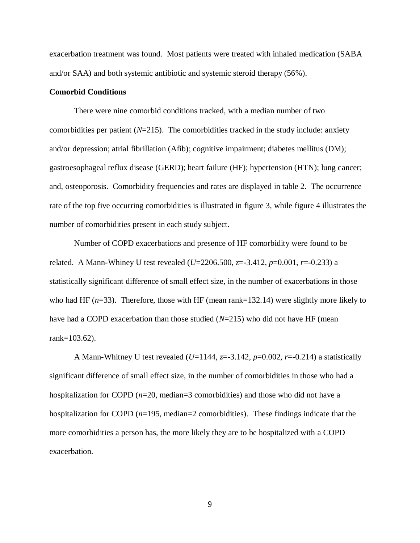exacerbation treatment was found. Most patients were treated with inhaled medication (SABA and/or SAA) and both systemic antibiotic and systemic steroid therapy (56%).

#### **Comorbid Conditions**

There were nine comorbid conditions tracked, with a median number of two comorbidities per patient  $(N=215)$ . The comorbidities tracked in the study include: anxiety and/or depression; atrial fibrillation (Afib); cognitive impairment; diabetes mellitus (DM); gastroesophageal reflux disease (GERD); heart failure (HF); hypertension (HTN); lung cancer; and, osteoporosis. Comorbidity frequencies and rates are displayed in table 2. The occurrence rate of the top five occurring comorbidities is illustrated in figure 3, while figure 4 illustrates the number of comorbidities present in each study subject.

Number of COPD exacerbations and presence of HF comorbidity were found to be related. A Mann-Whiney U test revealed (*U*=2206.500, *z*=-3.412, *p*=0.001, *r*=-0.233) a statistically significant difference of small effect size, in the number of exacerbations in those who had HF ( $n=33$ ). Therefore, those with HF (mean rank=132.14) were slightly more likely to have had a COPD exacerbation than those studied (*N*=215) who did not have HF (mean rank=103.62).

A Mann-Whitney U test revealed (*U*=1144, *z*=-3.142, *p*=0.002, *r*=-0.214) a statistically significant difference of small effect size, in the number of comorbidities in those who had a hospitalization for COPD (*n*=20, median=3 comorbidities) and those who did not have a hospitalization for COPD ( $n=195$ , median=2 comorbidities). These findings indicate that the more comorbidities a person has, the more likely they are to be hospitalized with a COPD exacerbation.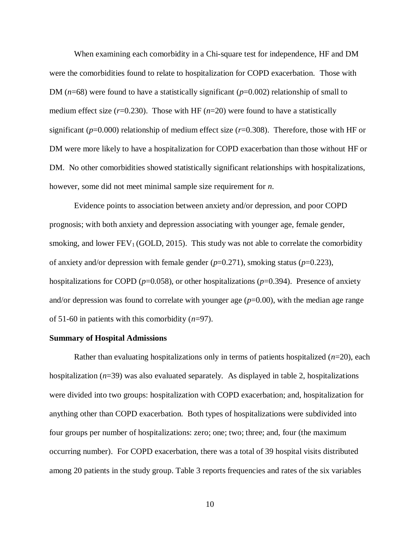When examining each comorbidity in a Chi-square test for independence, HF and DM were the comorbidities found to relate to hospitalization for COPD exacerbation. Those with DM (*n*=68) were found to have a statistically significant (*p*=0.002) relationship of small to medium effect size  $(r=0.230)$ . Those with HF  $(n=20)$  were found to have a statistically significant (*p*=0.000) relationship of medium effect size (*r*=0.308). Therefore, those with HF or DM were more likely to have a hospitalization for COPD exacerbation than those without HF or DM. No other comorbidities showed statistically significant relationships with hospitalizations, however, some did not meet minimal sample size requirement for *n*.

Evidence points to association between anxiety and/or depression, and poor COPD prognosis; with both anxiety and depression associating with younger age, female gender, smoking, and lower  $FEV<sub>1</sub>$  (GOLD, 2015). This study was not able to correlate the comorbidity of anxiety and/or depression with female gender (*p*=0.271), smoking status (*p*=0.223), hospitalizations for COPD ( $p=0.058$ ), or other hospitalizations ( $p=0.394$ ). Presence of anxiety and/or depression was found to correlate with younger age  $(p=0.00)$ , with the median age range of 51-60 in patients with this comorbidity (*n*=97).

#### **Summary of Hospital Admissions**

Rather than evaluating hospitalizations only in terms of patients hospitalized (*n*=20), each hospitalization (*n*=39) was also evaluated separately. As displayed in table 2, hospitalizations were divided into two groups: hospitalization with COPD exacerbation; and, hospitalization for anything other than COPD exacerbation. Both types of hospitalizations were subdivided into four groups per number of hospitalizations: zero; one; two; three; and, four (the maximum occurring number). For COPD exacerbation, there was a total of 39 hospital visits distributed among 20 patients in the study group. Table 3 reports frequencies and rates of the six variables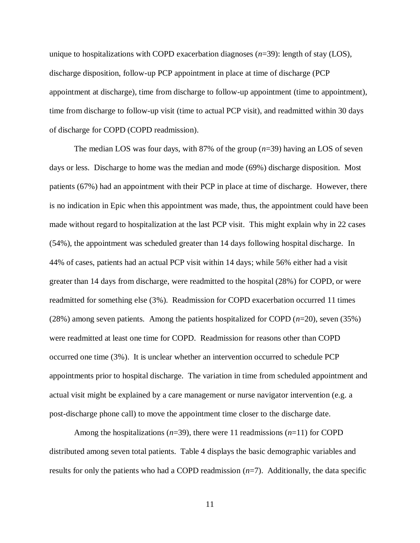unique to hospitalizations with COPD exacerbation diagnoses (*n*=39): length of stay (LOS), discharge disposition, follow-up PCP appointment in place at time of discharge (PCP appointment at discharge), time from discharge to follow-up appointment (time to appointment), time from discharge to follow-up visit (time to actual PCP visit), and readmitted within 30 days of discharge for COPD (COPD readmission).

The median LOS was four days, with 87% of the group (*n*=39) having an LOS of seven days or less. Discharge to home was the median and mode (69%) discharge disposition. Most patients (67%) had an appointment with their PCP in place at time of discharge. However, there is no indication in Epic when this appointment was made, thus, the appointment could have been made without regard to hospitalization at the last PCP visit. This might explain why in 22 cases (54%), the appointment was scheduled greater than 14 days following hospital discharge. In 44% of cases, patients had an actual PCP visit within 14 days; while 56% either had a visit greater than 14 days from discharge, were readmitted to the hospital (28%) for COPD, or were readmitted for something else (3%). Readmission for COPD exacerbation occurred 11 times (28%) among seven patients. Among the patients hospitalized for COPD (*n*=20), seven (35%) were readmitted at least one time for COPD. Readmission for reasons other than COPD occurred one time (3%). It is unclear whether an intervention occurred to schedule PCP appointments prior to hospital discharge. The variation in time from scheduled appointment and actual visit might be explained by a care management or nurse navigator intervention (e.g. a post-discharge phone call) to move the appointment time closer to the discharge date.

Among the hospitalizations  $(n=39)$ , there were 11 readmissions  $(n=11)$  for COPD distributed among seven total patients. Table 4 displays the basic demographic variables and results for only the patients who had a COPD readmission  $(n=7)$ . Additionally, the data specific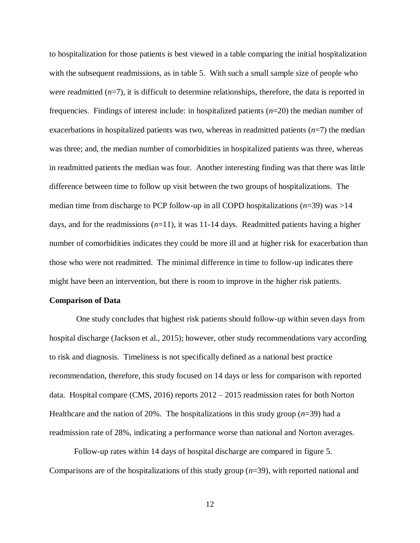to hospitalization for those patients is best viewed in a table comparing the initial hospitalization with the subsequent readmissions, as in table 5. With such a small sample size of people who were readmitted  $(n=7)$ , it is difficult to determine relationships, therefore, the data is reported in frequencies. Findings of interest include: in hospitalized patients (*n*=20) the median number of exacerbations in hospitalized patients was two, whereas in readmitted patients  $(n=7)$  the median was three; and, the median number of comorbidities in hospitalized patients was three, whereas in readmitted patients the median was four. Another interesting finding was that there was little difference between time to follow up visit between the two groups of hospitalizations. The median time from discharge to PCP follow-up in all COPD hospitalizations (*n*=39) was >14 days, and for the readmissions (*n*=11), it was 11-14 days. Readmitted patients having a higher number of comorbidities indicates they could be more ill and at higher risk for exacerbation than those who were not readmitted. The minimal difference in time to follow-up indicates there might have been an intervention, but there is room to improve in the higher risk patients.

#### **Comparison of Data**

One study concludes that highest risk patients should follow-up within seven days from hospital discharge (Jackson et al., 2015); however, other study recommendations vary according to risk and diagnosis. Timeliness is not specifically defined as a national best practice recommendation, therefore, this study focused on 14 days or less for comparison with reported data. Hospital compare (CMS, 2016) reports 2012 – 2015 readmission rates for both Norton Healthcare and the nation of 20%. The hospitalizations in this study group  $(n=39)$  had a readmission rate of 28%, indicating a performance worse than national and Norton averages.

Follow-up rates within 14 days of hospital discharge are compared in figure 5. Comparisons are of the hospitalizations of this study group (*n*=39), with reported national and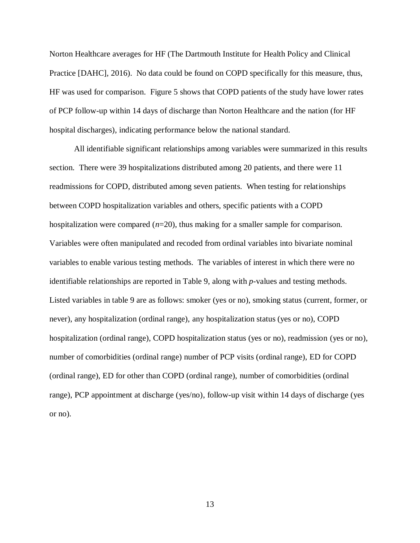Norton Healthcare averages for HF (The Dartmouth Institute for Health Policy and Clinical Practice [DAHC], 2016). No data could be found on COPD specifically for this measure, thus, HF was used for comparison. Figure 5 shows that COPD patients of the study have lower rates of PCP follow-up within 14 days of discharge than Norton Healthcare and the nation (for HF hospital discharges), indicating performance below the national standard.

All identifiable significant relationships among variables were summarized in this results section. There were 39 hospitalizations distributed among 20 patients, and there were 11 readmissions for COPD, distributed among seven patients. When testing for relationships between COPD hospitalization variables and others, specific patients with a COPD hospitalization were compared (*n*=20), thus making for a smaller sample for comparison. Variables were often manipulated and recoded from ordinal variables into bivariate nominal variables to enable various testing methods. The variables of interest in which there were no identifiable relationships are reported in Table 9, along with *p-*values and testing methods. Listed variables in table 9 are as follows: smoker (yes or no), smoking status (current, former, or never), any hospitalization (ordinal range), any hospitalization status (yes or no), COPD hospitalization (ordinal range), COPD hospitalization status (yes or no), readmission (yes or no), number of comorbidities (ordinal range) number of PCP visits (ordinal range), ED for COPD (ordinal range), ED for other than COPD (ordinal range), number of comorbidities (ordinal range), PCP appointment at discharge (yes/no), follow-up visit within 14 days of discharge (yes or no).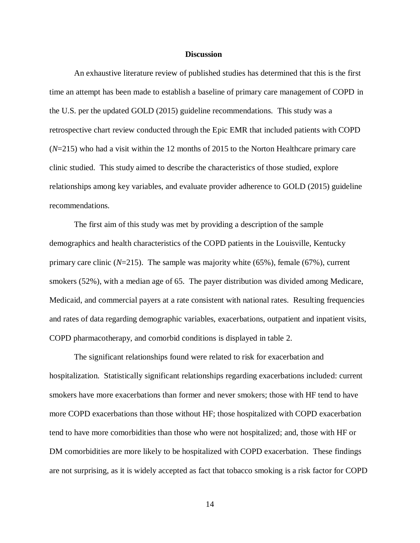#### **Discussion**

An exhaustive literature review of published studies has determined that this is the first time an attempt has been made to establish a baseline of primary care management of COPD in the U.S. per the updated GOLD (2015) guideline recommendations. This study was a retrospective chart review conducted through the Epic EMR that included patients with COPD (*N*=215) who had a visit within the 12 months of 2015 to the Norton Healthcare primary care clinic studied. This study aimed to describe the characteristics of those studied, explore relationships among key variables, and evaluate provider adherence to GOLD (2015) guideline recommendations.

The first aim of this study was met by providing a description of the sample demographics and health characteristics of the COPD patients in the Louisville, Kentucky primary care clinic  $(N=215)$ . The sample was majority white  $(65\%)$ , female  $(67\%)$ , current smokers (52%), with a median age of 65. The payer distribution was divided among Medicare, Medicaid, and commercial payers at a rate consistent with national rates. Resulting frequencies and rates of data regarding demographic variables, exacerbations, outpatient and inpatient visits, COPD pharmacotherapy, and comorbid conditions is displayed in table 2.

The significant relationships found were related to risk for exacerbation and hospitalization. Statistically significant relationships regarding exacerbations included: current smokers have more exacerbations than former and never smokers; those with HF tend to have more COPD exacerbations than those without HF; those hospitalized with COPD exacerbation tend to have more comorbidities than those who were not hospitalized; and, those with HF or DM comorbidities are more likely to be hospitalized with COPD exacerbation. These findings are not surprising, as it is widely accepted as fact that tobacco smoking is a risk factor for COPD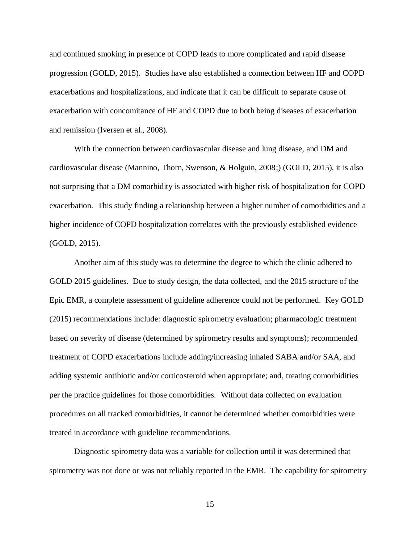and continued smoking in presence of COPD leads to more complicated and rapid disease progression (GOLD, 2015). Studies have also established a connection between HF and COPD exacerbations and hospitalizations, and indicate that it can be difficult to separate cause of exacerbation with concomitance of HF and COPD due to both being diseases of exacerbation and remission (Iversen et al., 2008).

With the connection between cardiovascular disease and lung disease, and DM and cardiovascular disease (Mannino, Thorn, Swenson, & Holguin, 2008;) (GOLD, 2015), it is also not surprising that a DM comorbidity is associated with higher risk of hospitalization for COPD exacerbation. This study finding a relationship between a higher number of comorbidities and a higher incidence of COPD hospitalization correlates with the previously established evidence (GOLD, 2015).

Another aim of this study was to determine the degree to which the clinic adhered to GOLD 2015 guidelines. Due to study design, the data collected, and the 2015 structure of the Epic EMR, a complete assessment of guideline adherence could not be performed. Key GOLD (2015) recommendations include: diagnostic spirometry evaluation; pharmacologic treatment based on severity of disease (determined by spirometry results and symptoms); recommended treatment of COPD exacerbations include adding/increasing inhaled SABA and/or SAA, and adding systemic antibiotic and/or corticosteroid when appropriate; and, treating comorbidities per the practice guidelines for those comorbidities. Without data collected on evaluation procedures on all tracked comorbidities, it cannot be determined whether comorbidities were treated in accordance with guideline recommendations.

Diagnostic spirometry data was a variable for collection until it was determined that spirometry was not done or was not reliably reported in the EMR. The capability for spirometry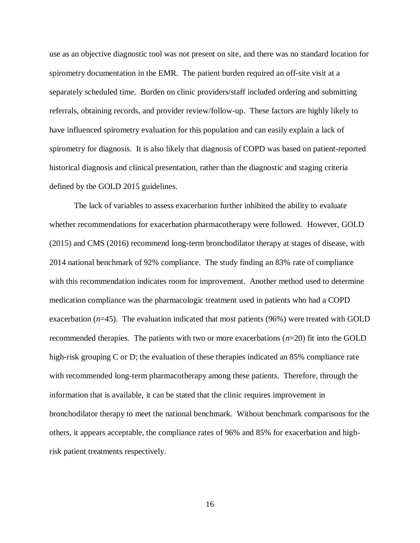use as an objective diagnostic tool was not present on site, and there was no standard location for spirometry documentation in the EMR. The patient burden required an off-site visit at a separately scheduled time. Burden on clinic providers/staff included ordering and submitting referrals, obtaining records, and provider review/follow-up. These factors are highly likely to have influenced spirometry evaluation for this population and can easily explain a lack of spirometry for diagnosis. It is also likely that diagnosis of COPD was based on patient-reported historical diagnosis and clinical presentation, rather than the diagnostic and staging criteria defined by the GOLD 2015 guidelines.

The lack of variables to assess exacerbation further inhibited the ability to evaluate whether recommendations for exacerbation pharmacotherapy were followed. However, GOLD (2015) and CMS (2016) recommend long-term bronchodilator therapy at stages of disease, with 2014 national benchmark of 92% compliance. The study finding an 83% rate of compliance with this recommendation indicates room for improvement. Another method used to determine medication compliance was the pharmacologic treatment used in patients who had a COPD exacerbation  $(n=45)$ . The evaluation indicated that most patients (96%) were treated with GOLD recommended therapies. The patients with two or more exacerbations (*n*=20) fit into the GOLD high-risk grouping C or D; the evaluation of these therapies indicated an 85% compliance rate with recommended long-term pharmacotherapy among these patients. Therefore, through the information that is available, it can be stated that the clinic requires improvement in bronchodilator therapy to meet the national benchmark. Without benchmark comparisons for the others, it appears acceptable, the compliance rates of 96% and 85% for exacerbation and highrisk patient treatments respectively.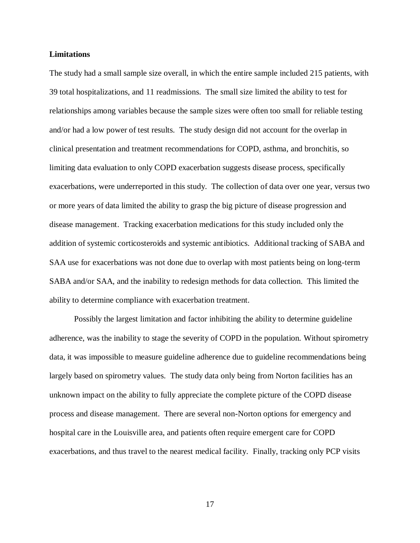#### **Limitations**

The study had a small sample size overall, in which the entire sample included 215 patients, with 39 total hospitalizations, and 11 readmissions. The small size limited the ability to test for relationships among variables because the sample sizes were often too small for reliable testing and/or had a low power of test results. The study design did not account for the overlap in clinical presentation and treatment recommendations for COPD, asthma, and bronchitis, so limiting data evaluation to only COPD exacerbation suggests disease process, specifically exacerbations, were underreported in this study. The collection of data over one year, versus two or more years of data limited the ability to grasp the big picture of disease progression and disease management. Tracking exacerbation medications for this study included only the addition of systemic corticosteroids and systemic antibiotics. Additional tracking of SABA and SAA use for exacerbations was not done due to overlap with most patients being on long-term SABA and/or SAA, and the inability to redesign methods for data collection. This limited the ability to determine compliance with exacerbation treatment.

Possibly the largest limitation and factor inhibiting the ability to determine guideline adherence, was the inability to stage the severity of COPD in the population. Without spirometry data, it was impossible to measure guideline adherence due to guideline recommendations being largely based on spirometry values. The study data only being from Norton facilities has an unknown impact on the ability to fully appreciate the complete picture of the COPD disease process and disease management. There are several non-Norton options for emergency and hospital care in the Louisville area, and patients often require emergent care for COPD exacerbations, and thus travel to the nearest medical facility. Finally, tracking only PCP visits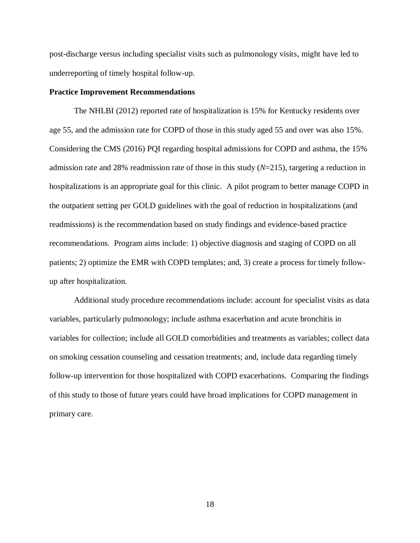post-discharge versus including specialist visits such as pulmonology visits, might have led to underreporting of timely hospital follow-up.

#### **Practice Improvement Recommendations**

The NHLBI (2012) reported rate of hospitalization is 15% for Kentucky residents over age 55, and the admission rate for COPD of those in this study aged 55 and over was also 15%. Considering the CMS (2016) PQI regarding hospital admissions for COPD and asthma, the 15% admission rate and 28% readmission rate of those in this study (*N*=215), targeting a reduction in hospitalizations is an appropriate goal for this clinic. A pilot program to better manage COPD in the outpatient setting per GOLD guidelines with the goal of reduction in hospitalizations (and readmissions) is the recommendation based on study findings and evidence-based practice recommendations. Program aims include: 1) objective diagnosis and staging of COPD on all patients; 2) optimize the EMR with COPD templates; and, 3) create a process for timely followup after hospitalization.

Additional study procedure recommendations include: account for specialist visits as data variables, particularly pulmonology; include asthma exacerbation and acute bronchitis in variables for collection; include all GOLD comorbidities and treatments as variables; collect data on smoking cessation counseling and cessation treatments; and, include data regarding timely follow-up intervention for those hospitalized with COPD exacerbations. Comparing the findings of this study to those of future years could have broad implications for COPD management in primary care.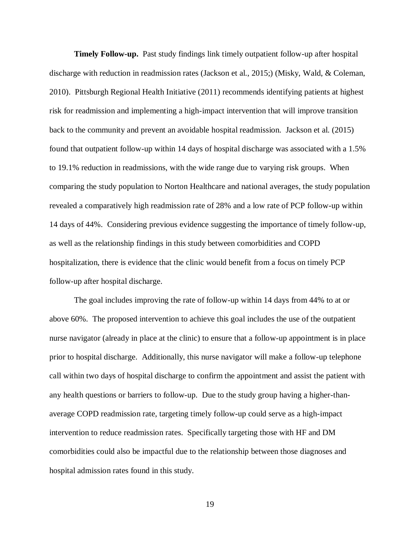**Timely Follow-up.** Past study findings link timely outpatient follow-up after hospital discharge with reduction in readmission rates (Jackson et al., 2015;) (Misky, Wald, & Coleman, 2010). Pittsburgh Regional Health Initiative (2011) recommends identifying patients at highest risk for readmission and implementing a high-impact intervention that will improve transition back to the community and prevent an avoidable hospital readmission. Jackson et al. (2015) found that outpatient follow-up within 14 days of hospital discharge was associated with a 1.5% to 19.1% reduction in readmissions, with the wide range due to varying risk groups. When comparing the study population to Norton Healthcare and national averages, the study population revealed a comparatively high readmission rate of 28% and a low rate of PCP follow-up within 14 days of 44%. Considering previous evidence suggesting the importance of timely follow-up, as well as the relationship findings in this study between comorbidities and COPD hospitalization, there is evidence that the clinic would benefit from a focus on timely PCP follow-up after hospital discharge.

The goal includes improving the rate of follow-up within 14 days from 44% to at or above 60%. The proposed intervention to achieve this goal includes the use of the outpatient nurse navigator (already in place at the clinic) to ensure that a follow-up appointment is in place prior to hospital discharge. Additionally, this nurse navigator will make a follow-up telephone call within two days of hospital discharge to confirm the appointment and assist the patient with any health questions or barriers to follow-up. Due to the study group having a higher-thanaverage COPD readmission rate, targeting timely follow-up could serve as a high-impact intervention to reduce readmission rates. Specifically targeting those with HF and DM comorbidities could also be impactful due to the relationship between those diagnoses and hospital admission rates found in this study.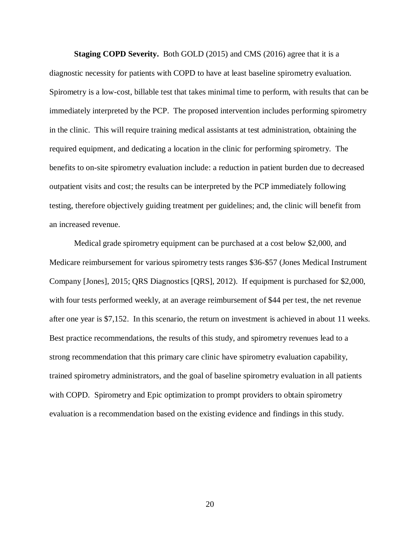**Staging COPD Severity.** Both GOLD (2015) and CMS (2016) agree that it is a diagnostic necessity for patients with COPD to have at least baseline spirometry evaluation. Spirometry is a low-cost, billable test that takes minimal time to perform, with results that can be immediately interpreted by the PCP. The proposed intervention includes performing spirometry in the clinic. This will require training medical assistants at test administration, obtaining the required equipment, and dedicating a location in the clinic for performing spirometry. The benefits to on-site spirometry evaluation include: a reduction in patient burden due to decreased outpatient visits and cost; the results can be interpreted by the PCP immediately following testing, therefore objectively guiding treatment per guidelines; and, the clinic will benefit from an increased revenue.

Medical grade spirometry equipment can be purchased at a cost below \$2,000, and Medicare reimbursement for various spirometry tests ranges \$36-\$57 (Jones Medical Instrument Company [Jones], 2015; QRS Diagnostics [QRS], 2012). If equipment is purchased for \$2,000, with four tests performed weekly, at an average reimbursement of \$44 per test, the net revenue after one year is \$7,152. In this scenario, the return on investment is achieved in about 11 weeks. Best practice recommendations, the results of this study, and spirometry revenues lead to a strong recommendation that this primary care clinic have spirometry evaluation capability, trained spirometry administrators, and the goal of baseline spirometry evaluation in all patients with COPD. Spirometry and Epic optimization to prompt providers to obtain spirometry evaluation is a recommendation based on the existing evidence and findings in this study.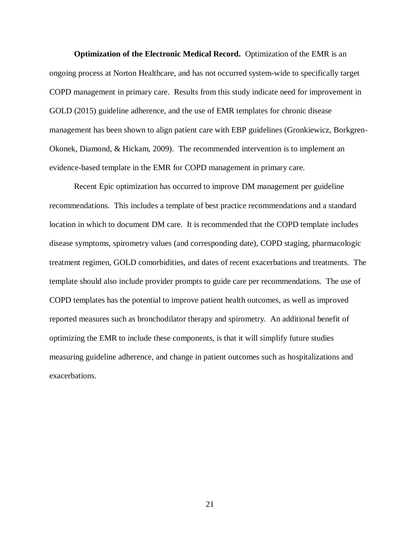**Optimization of the Electronic Medical Record.** Optimization of the EMR is an ongoing process at Norton Healthcare, and has not occurred system-wide to specifically target COPD management in primary care. Results from this study indicate need for improvement in GOLD (2015) guideline adherence, and the use of EMR templates for chronic disease management has been shown to align patient care with EBP guidelines (Gronkiewicz, Borkgren-Okonek, Diamond, & Hickam, 2009). The recommended intervention is to implement an evidence-based template in the EMR for COPD management in primary care.

Recent Epic optimization has occurred to improve DM management per guideline recommendations. This includes a template of best practice recommendations and a standard location in which to document DM care. It is recommended that the COPD template includes disease symptoms, spirometry values (and corresponding date), COPD staging, pharmacologic treatment regimen, GOLD comorbidities, and dates of recent exacerbations and treatments. The template should also include provider prompts to guide care per recommendations. The use of COPD templates has the potential to improve patient health outcomes, as well as improved reported measures such as bronchodilator therapy and spirometry. An additional benefit of optimizing the EMR to include these components, is that it will simplify future studies measuring guideline adherence, and change in patient outcomes such as hospitalizations and exacerbations.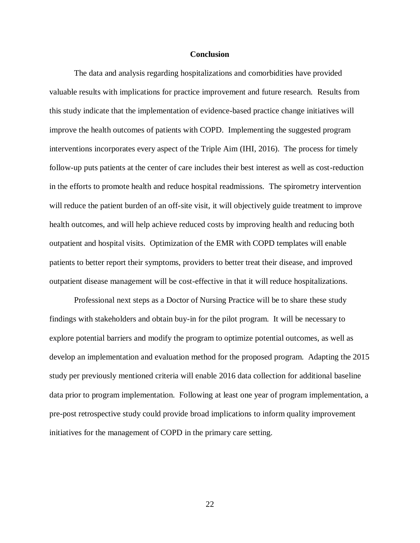#### **Conclusion**

The data and analysis regarding hospitalizations and comorbidities have provided valuable results with implications for practice improvement and future research. Results from this study indicate that the implementation of evidence-based practice change initiatives will improve the health outcomes of patients with COPD. Implementing the suggested program interventions incorporates every aspect of the Triple Aim (IHI, 2016). The process for timely follow-up puts patients at the center of care includes their best interest as well as cost-reduction in the efforts to promote health and reduce hospital readmissions. The spirometry intervention will reduce the patient burden of an off-site visit, it will objectively guide treatment to improve health outcomes, and will help achieve reduced costs by improving health and reducing both outpatient and hospital visits. Optimization of the EMR with COPD templates will enable patients to better report their symptoms, providers to better treat their disease, and improved outpatient disease management will be cost-effective in that it will reduce hospitalizations.

Professional next steps as a Doctor of Nursing Practice will be to share these study findings with stakeholders and obtain buy-in for the pilot program. It will be necessary to explore potential barriers and modify the program to optimize potential outcomes, as well as develop an implementation and evaluation method for the proposed program. Adapting the 2015 study per previously mentioned criteria will enable 2016 data collection for additional baseline data prior to program implementation. Following at least one year of program implementation, a pre-post retrospective study could provide broad implications to inform quality improvement initiatives for the management of COPD in the primary care setting.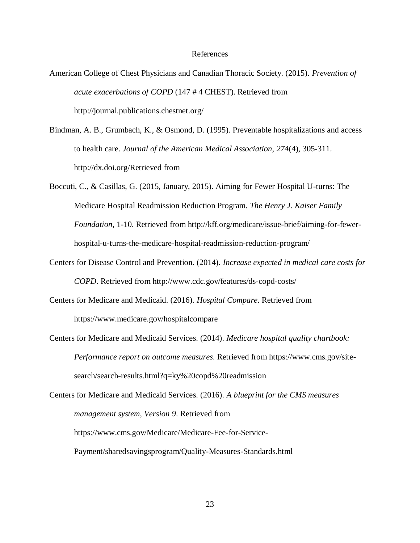#### References

- American College of Chest Physicians and Canadian Thoracic Society. (2015). *Prevention of acute exacerbations of COPD* (147 # 4 CHEST). Retrieved from http://journal.publications.chestnet.org/
- Bindman, A. B., Grumbach, K., & Osmond, D. (1995). Preventable hospitalizations and access to health care. *Journal of the American Medical Association*, *274*(4), 305-311. http://dx.doi.org/Retrieved from
- Boccuti, C., & Casillas, G. (2015, January, 2015). Aiming for Fewer Hospital U-turns: The Medicare Hospital Readmission Reduction Program. *The Henry J. Kaiser Family Foundation*, 1-10. Retrieved from http://kff.org/medicare/issue-brief/aiming-for-fewerhospital-u-turns-the-medicare-hospital-readmission-reduction-program/
- Centers for Disease Control and Prevention. (2014). *Increase expected in medical care costs for COPD*. Retrieved from http://www.cdc.gov/features/ds-copd-costs/
- Centers for Medicare and Medicaid. (2016). *Hospital Compare*. Retrieved from https://www.medicare.gov/hospitalcompare
- Centers for Medicare and Medicaid Services. (2014). *Medicare hospital quality chartbook: Performance report on outcome measures*. Retrieved from https://www.cms.gov/sitesearch/search-results.html?q=ky%20copd%20readmission
- Centers for Medicare and Medicaid Services. (2016). *A blueprint for the CMS measures management system, Version 9*. Retrieved from https://www.cms.gov/Medicare/Medicare-Fee-for-Service-Payment/sharedsavingsprogram/Quality-Measures-Standards.html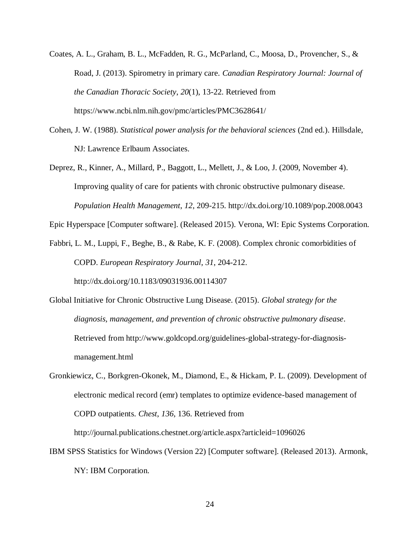- Coates, A. L., Graham, B. L., McFadden, R. G., McParland, C., Moosa, D., Provencher, S., & Road, J. (2013). Spirometry in primary care. *Canadian Respiratory Journal: Journal of the Canadian Thoracic Society*, *20*(1), 13-22. Retrieved from https://www.ncbi.nlm.nih.gov/pmc/articles/PMC3628641/
- Cohen, J. W. (1988). *Statistical power analysis for the behavioral sciences* (2nd ed.). Hillsdale, NJ: Lawrence Erlbaum Associates.
- Deprez, R., Kinner, A., Millard, P., Baggott, L., Mellett, J., & Loo, J. (2009, November 4). Improving quality of care for patients with chronic obstructive pulmonary disease. *Population Health Management*, *12*, 209-215. http://dx.doi.org/10.1089/pop.2008.0043

Epic Hyperspace [Computer software]. (Released 2015). Verona, WI: Epic Systems Corporation.

Fabbri, L. M., Luppi, F., Beghe, B., & Rabe, K. F. (2008). Complex chronic comorbidities of COPD. *European Respiratory Journal*, *31*, 204-212.

http://dx.doi.org/10.1183/09031936.00114307

- Global Initiative for Chronic Obstructive Lung Disease. (2015). *Global strategy for the diagnosis, management, and prevention of chronic obstructive pulmonary disease*. Retrieved from http://www.goldcopd.org/guidelines-global-strategy-for-diagnosismanagement.html
- Gronkiewicz, C., Borkgren-Okonek, M., Diamond, E., & Hickam, P. L. (2009). Development of electronic medical record (emr) templates to optimize evidence-based management of COPD outpatients. *Chest*, *136*, 136. Retrieved from

http://journal.publications.chestnet.org/article.aspx?articleid=1096026

IBM SPSS Statistics for Windows (Version 22) [Computer software]. (Released 2013). Armonk, NY: IBM Corporation.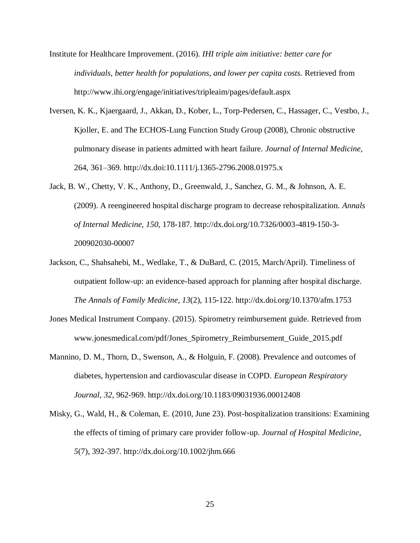- Institute for Healthcare Improvement. (2016). *IHI triple aim initiative: better care for individuals, better health for populations, and lower per capita costs.* Retrieved from http://www.ihi.org/engage/initiatives/tripleaim/pages/default.aspx
- Iversen, K. K., Kjaergaard, J., Akkan, D., Kober, L., Torp-Pedersen, C., Hassager, C., Vestbo, J., Kjoller, E. and The ECHOS-Lung Function Study Group (2008), Chronic obstructive pulmonary disease in patients admitted with heart failure. *Journal of Internal Medicine,* 264, 361–369. http://dx.doi:10.1111/j.1365-2796.2008.01975.x
- Jack, B. W., Chetty, V. K., Anthony, D., Greenwald, J., Sanchez, G. M., & Johnson, A. E. (2009). A reengineered hospital discharge program to decrease rehospitalization. *Annals of Internal Medicine*, *150*, 178-187. http://dx.doi.org/10.7326/0003-4819-150-3- 200902030-00007
- Jackson, C., Shahsahebi, M., Wedlake, T., & DuBard, C. (2015, March/April). Timeliness of outpatient follow-up: an evidence-based approach for planning after hospital discharge. *The Annals of Family Medicine*, *13*(2), 115-122. http://dx.doi.org/10.1370/afm.1753
- Jones Medical Instrument Company. (2015). Spirometry reimbursement guide. Retrieved from www.jonesmedical.com/pdf/Jones\_Spirometry\_Reimbursement\_Guide\_2015.pdf
- Mannino, D. M., Thorn, D., Swenson, A., & Holguin, F. (2008). Prevalence and outcomes of diabetes, hypertension and cardiovascular disease in COPD. *European Respiratory Journal*, *32*, 962-969. http://dx.doi.org/10.1183/09031936.00012408
- Misky, G., Wald, H., & Coleman, E. (2010, June 23). Post-hospitalization transitions: Examining the effects of timing of primary care provider follow-up. *Journal of Hospital Medicine*, *5*(7), 392-397. http://dx.doi.org/10.1002/jhm.666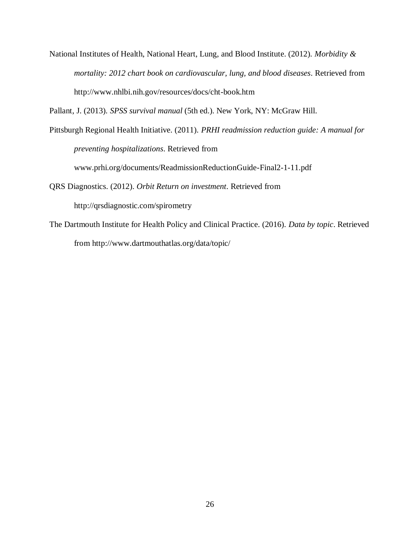National Institutes of Health, National Heart, Lung, and Blood Institute. (2012). *Morbidity & mortality: 2012 chart book on cardiovascular, lung, and blood diseases*. Retrieved from http://www.nhlbi.nih.gov/resources/docs/cht-book.htm

Pallant, J. (2013). *SPSS survival manual* (5th ed.). New York, NY: McGraw Hill.

Pittsburgh Regional Health Initiative. (2011). *PRHI readmission reduction guide: A manual for preventing hospitalizations*. Retrieved from www.prhi.org/documents/ReadmissionReductionGuide-Final2-1-11.pdf

QRS Diagnostics. (2012). *Orbit Return on investment*. Retrieved from http://qrsdiagnostic.com/spirometry

The Dartmouth Institute for Health Policy and Clinical Practice. (2016). *Data by topic*. Retrieved from http://www.dartmouthatlas.org/data/topic/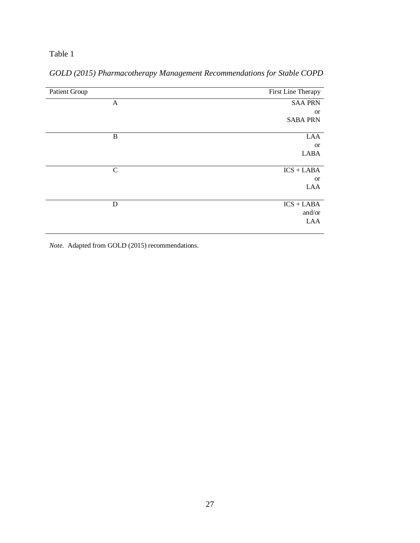| Patient Group | First Line Therapy |
|---------------|--------------------|
| A             | <b>SAA PRN</b>     |
|               | <b>or</b>          |
|               | <b>SABA PRN</b>    |
|               |                    |
| $\bf{B}$      | LAA                |
|               | <b>or</b>          |
|               | <b>LABA</b>        |
|               |                    |
| $\mathbf C$   | $ICS + LABA$       |
|               | <b>or</b>          |
|               | LAA                |
|               |                    |
| D             | $ICS + LABA$       |
|               | and/or             |
|               | LAA                |
|               |                    |

## *GOLD (2015) Pharmacotherapy Management Recommendations for Stable COPD*

*Note.* Adapted from GOLD (2015) recommendations.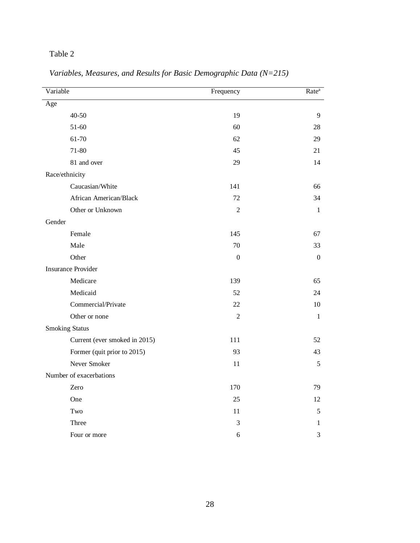| Variable                      | Frequency        | Rate <sup>a</sup> |
|-------------------------------|------------------|-------------------|
| Age                           |                  |                   |
| $40 - 50$                     | 19               | 9                 |
| 51-60                         | 60               | 28                |
| 61-70                         | 62               | 29                |
| 71-80                         | 45               | 21                |
| 81 and over                   | 29               | 14                |
| Race/ethnicity                |                  |                   |
| Caucasian/White               | 141              | 66                |
| African American/Black        | 72               | 34                |
| Other or Unknown              | $\overline{2}$   | $\mathbf{1}$      |
| Gender                        |                  |                   |
| Female                        | 145              | 67                |
| Male                          | 70               | 33                |
| Other                         | $\boldsymbol{0}$ | $\boldsymbol{0}$  |
| <b>Insurance Provider</b>     |                  |                   |
| Medicare                      | 139              | 65                |
| Medicaid                      | 52               | 24                |
| Commercial/Private            | 22               | 10                |
| Other or none                 | $\overline{2}$   | $\mathbf{1}$      |
| <b>Smoking Status</b>         |                  |                   |
| Current (ever smoked in 2015) | 111              | 52                |
| Former (quit prior to 2015)   | 93               | 43                |
| Never Smoker                  | 11               | 5                 |
| Number of exacerbations       |                  |                   |
| Zero                          | 170              | 79                |
| One                           | 25               | 12                |
| Two                           | 11               | 5                 |
| Three                         | 3                | 1                 |
| Four or more                  | 6                | 3                 |

*Variables, Measures, and Results for Basic Demographic Data (N=215)*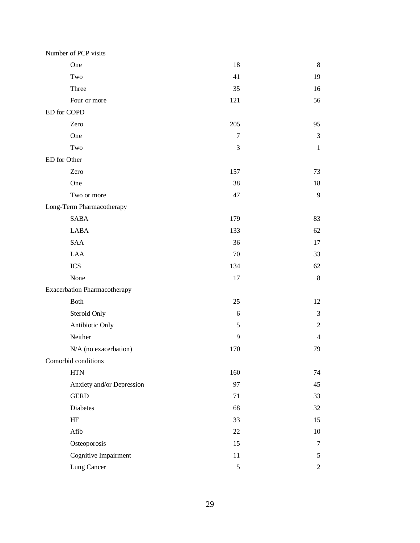|              | Number of PCP visits                |               |                |
|--------------|-------------------------------------|---------------|----------------|
|              | One                                 | 18            | 8              |
|              | Two                                 | 41            | 19             |
|              | Three                               | 35            | 16             |
|              | Four or more                        | 121           | 56             |
| ED for COPD  |                                     |               |                |
|              | Zero                                | 205           | 95             |
|              | One                                 | 7             | 3              |
|              | Two                                 | 3             | $\mathbf{1}$   |
| ED for Other |                                     |               |                |
|              | Zero                                | 157           | 73             |
|              | One                                 | 38            | 18             |
|              | Two or more                         | 47            | 9              |
|              | Long-Term Pharmacotherapy           |               |                |
|              | <b>SABA</b>                         | 179           | 83             |
|              | <b>LABA</b>                         | 133           | 62             |
|              | <b>SAA</b>                          | 36            | 17             |
|              | <b>LAA</b>                          | 70            | 33             |
|              | <b>ICS</b>                          | 134           | 62             |
|              | None                                | 17            | $8\,$          |
|              | <b>Exacerbation Pharmacotherapy</b> |               |                |
|              | <b>Both</b>                         | 25            | 12             |
|              | Steroid Only                        | 6             | $\mathfrak{Z}$ |
|              | Antibiotic Only                     | 5             | $\mathfrak{2}$ |
|              | Neither                             | 9             | $\overline{4}$ |
|              | N/A (no exacerbation)               | 170           | 79             |
|              | Comorbid conditions                 |               |                |
|              | $\operatorname{HTN}$                | 160           | 74             |
|              | Anxiety and/or Depression           | 97            | 45             |
|              | <b>GERD</b>                         | 71            | 33             |
|              | Diabetes                            | 68            | 32             |
|              | $\rm{HF}$                           | 33            | 15             |
|              | Afib                                | 22            | $10\,$         |
|              | Osteoporosis                        | 15            | $\tau$         |
|              | Cognitive Impairment                | $11\,$        | 5              |
|              | Lung Cancer                         | $\mathfrak s$ | $\overline{2}$ |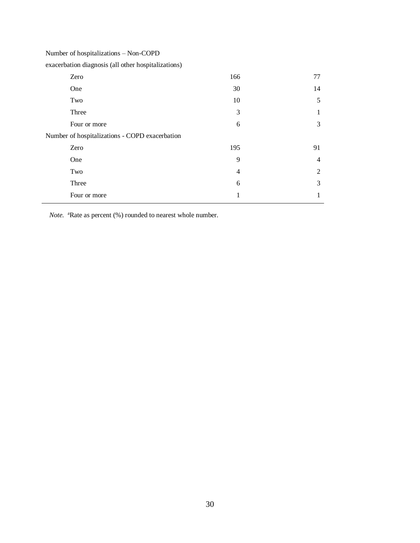Number of hospitalizations – Non-COPD

exacerbation diagnosis (all other hospitalizations)

| Zero                                           | 166 | 77             |
|------------------------------------------------|-----|----------------|
| One                                            | 30  | 14             |
| Two                                            | 10  | 5              |
| Three                                          | 3   | 1              |
| Four or more                                   | 6   | 3              |
| Number of hospitalizations - COPD exacerbation |     |                |
| Zero                                           | 195 | 91             |
| One                                            | 9   | $\overline{4}$ |
| Two                                            | 4   | 2              |
| Three                                          | 6   | 3              |
| Four or more                                   | 1   | 1              |

*Note.* <sup>a</sup>Rate as percent (%) rounded to nearest whole number.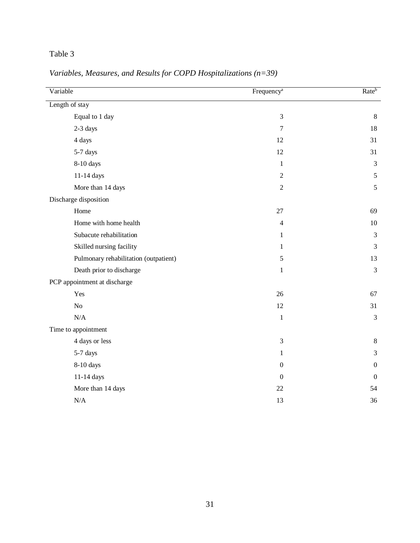| Variable                              | Frequency <sup>a</sup> | Rateb            |
|---------------------------------------|------------------------|------------------|
| Length of stay                        |                        |                  |
| Equal to 1 day                        | $\mathfrak{Z}$         | $8\,$            |
| 2-3 days                              | $\overline{7}$         | 18               |
| 4 days                                | 12                     | 31               |
| 5-7 days                              | 12                     | 31               |
| 8-10 days                             | $\mathbf{1}$           | $\mathfrak{Z}$   |
| $11-14$ days                          | $\sqrt{2}$             | 5                |
| More than 14 days                     | $\sqrt{2}$             | 5                |
| Discharge disposition                 |                        |                  |
| Home                                  | 27                     | 69               |
| Home with home health                 | $\overline{4}$         | $10\,$           |
| Subacute rehabilitation               | 1                      | $\mathfrak{Z}$   |
| Skilled nursing facility              | 1                      | $\mathfrak{Z}$   |
| Pulmonary rehabilitation (outpatient) | $\sqrt{5}$             | 13               |
| Death prior to discharge              | $\mathbf{1}$           | $\mathfrak{Z}$   |
| PCP appointment at discharge          |                        |                  |
| Yes                                   | 26                     | 67               |
| $\rm No$                              | 12                     | 31               |
| $\rm N/A$                             | $\mathbf{1}$           | $\mathfrak{Z}$   |
| Time to appointment                   |                        |                  |
| 4 days or less                        | 3                      | $8\,$            |
| 5-7 days                              | $\mathbf{1}$           | $\mathfrak{Z}$   |
| 8-10 days                             | $\boldsymbol{0}$       | $\boldsymbol{0}$ |
| $11-14$ days $\,$                     | $\boldsymbol{0}$       | $\boldsymbol{0}$ |
| More than 14 days                     | $22\,$                 | 54               |
| N/A                                   | 13                     | 36               |

*Variables, Measures, and Results for COPD Hospitalizations (n=39)*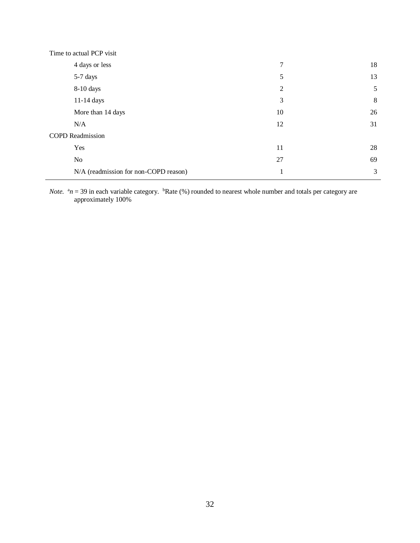| Time to actual PCP visit              |    |    |
|---------------------------------------|----|----|
| 4 days or less                        | 7  | 18 |
| 5-7 days                              | 5  | 13 |
| $8-10$ days                           | 2  | 5  |
| $11-14$ days                          | 3  | 8  |
| More than 14 days                     | 10 | 26 |
| N/A                                   | 12 | 31 |
| <b>COPD</b> Readmission               |    |    |
| Yes                                   | 11 | 28 |
| N <sub>o</sub>                        | 27 | 69 |
| N/A (readmission for non-COPD reason) | -1 | 3  |

*Note.*  $a_n = 39$  in each variable category.  $b$ Rate (%) rounded to nearest whole number and totals per category are approximately 100%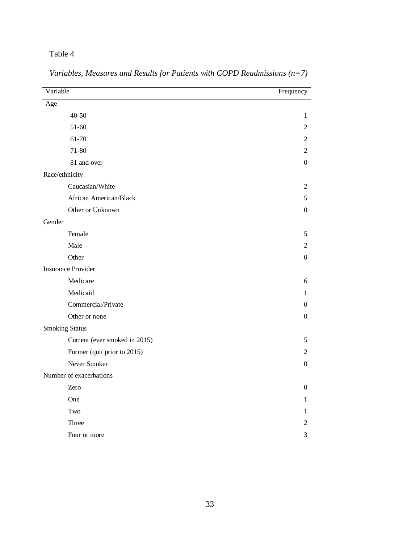| Variable                      | Frequency        |
|-------------------------------|------------------|
| Age                           |                  |
| 40-50                         | $\mathbf{1}$     |
| 51-60                         | 2                |
| 61-70                         | 2                |
| 71-80                         | 2                |
| 81 and over                   | $\theta$         |
| Race/ethnicity                |                  |
| Caucasian/White               | 2                |
| African American/Black        | 5                |
| Other or Unknown              | $\boldsymbol{0}$ |
| Gender                        |                  |
| Female                        | 5                |
| Male                          | 2                |
| Other                         | $\boldsymbol{0}$ |
| <b>Insurance Provider</b>     |                  |
| Medicare                      | 6                |
| Medicaid                      | 1                |
| Commercial/Private            | $\boldsymbol{0}$ |
| Other or none                 | $\boldsymbol{0}$ |
| <b>Smoking Status</b>         |                  |
| Current (ever smoked in 2015) | 5                |
| Former (quit prior to 2015)   | 2                |
| Never Smoker                  | $\boldsymbol{0}$ |
| Number of exacerbations       |                  |
| Zero                          | $\boldsymbol{0}$ |
| One                           | 1                |
| Two                           | 1                |
| Three                         | 2                |
| Four or more                  | 3                |

*Variables, Measures and Results for Patients with COPD Readmissions (n=7)*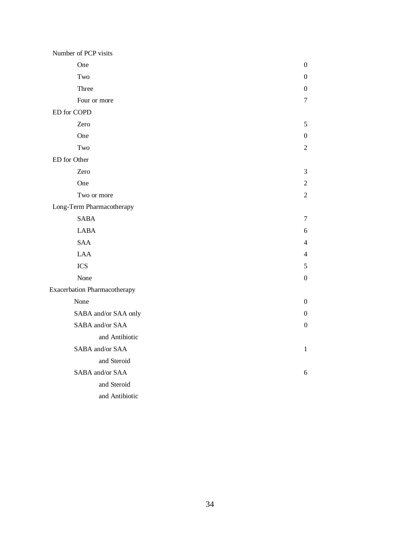| Number of PCP visits                |                  |
|-------------------------------------|------------------|
| One                                 | 0                |
| Two                                 | 0                |
| Three                               | $\boldsymbol{0}$ |
| Four or more                        | 7                |
| ED for COPD                         |                  |
| Zero                                | 5                |
| One                                 | 0                |
| Two                                 | 2                |
| ED for Other                        |                  |
| Zero                                | 3                |
| One                                 | $\mathfrak{2}$   |
| Two or more                         | $\overline{2}$   |
| Long-Term Pharmacotherapy           |                  |
| <b>SABA</b>                         | 7                |
| <b>LABA</b>                         | 6                |
| <b>SAA</b>                          | 4                |
| <b>LAA</b>                          | 4                |
| <b>ICS</b>                          | 5                |
| None                                | 0                |
| <b>Exacerbation Pharmacotherapy</b> |                  |
| None                                | $\boldsymbol{0}$ |
| SABA and/or SAA only                | 0                |
| SABA and/or SAA                     | $\boldsymbol{0}$ |
| and Antibiotic                      |                  |
| SABA and/or SAA                     | 1                |
| and Steroid                         |                  |
| SABA and/or SAA                     | 6                |
| and Steroid                         |                  |
| and Antibiotic                      |                  |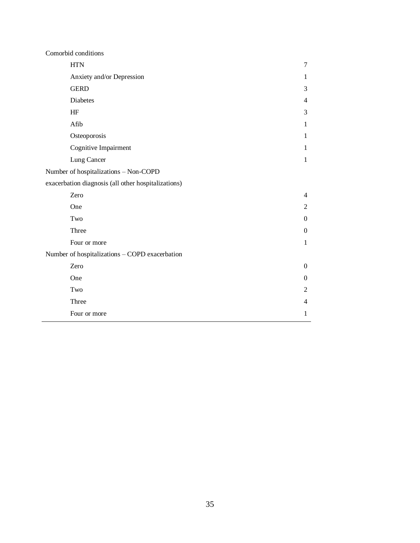| Comorbid conditions                                 |                          |
|-----------------------------------------------------|--------------------------|
| <b>HTN</b>                                          | $\tau$                   |
| Anxiety and/or Depression                           | 1                        |
| <b>GERD</b>                                         | 3                        |
| Diabetes                                            | $\overline{4}$           |
| HF                                                  | 3                        |
| Afib                                                | $\mathbf{1}$             |
| Osteoporosis                                        | $\mathbf{1}$             |
| Cognitive Impairment                                | $\mathbf{1}$             |
| Lung Cancer                                         | $\mathbf{1}$             |
| Number of hospitalizations - Non-COPD               |                          |
| exacerbation diagnosis (all other hospitalizations) |                          |
| Zero                                                | $\overline{4}$           |
| One                                                 | 2                        |
| Two                                                 | $\Omega$                 |
| Three                                               | $\Omega$                 |
| Four or more                                        | $\mathbf{1}$             |
| Number of hospitalizations - COPD exacerbation      |                          |
| Zero                                                | $\mathbf{0}$             |
| One                                                 | $\overline{0}$           |
| Two                                                 | 2                        |
| Three                                               | $\overline{\mathcal{L}}$ |
| Four or more                                        | 1                        |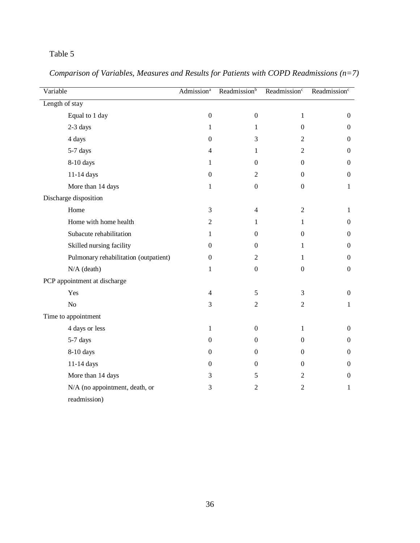| Variable                              | Admission <sup>a</sup> | Readmission <sup>b</sup> | Readmission <sup>c</sup> | Readmission <sup>c</sup> |
|---------------------------------------|------------------------|--------------------------|--------------------------|--------------------------|
| Length of stay                        |                        |                          |                          |                          |
| Equal to 1 day                        | $\boldsymbol{0}$       | $\boldsymbol{0}$         | $\mathbf{1}$             | $\overline{0}$           |
| 2-3 days                              | 1                      | $\mathbf{1}$             | $\boldsymbol{0}$         | $\boldsymbol{0}$         |
| 4 days                                | $\boldsymbol{0}$       | 3                        | $\mathfrak{2}$           | $\boldsymbol{0}$         |
| 5-7 days                              | $\overline{4}$         | $\mathbf{1}$             | $\mathfrak{2}$           | $\overline{0}$           |
| 8-10 days                             | 1                      | $\boldsymbol{0}$         | $\boldsymbol{0}$         | $\boldsymbol{0}$         |
| 11-14 days                            | $\boldsymbol{0}$       | $\overline{2}$           | $\boldsymbol{0}$         | $\boldsymbol{0}$         |
| More than 14 days                     | $\mathbf{1}$           | $\boldsymbol{0}$         | $\boldsymbol{0}$         | $\mathbf{1}$             |
| Discharge disposition                 |                        |                          |                          |                          |
| Home                                  | 3                      | $\overline{4}$           | $\mathfrak{2}$           | 1                        |
| Home with home health                 | $\overline{2}$         | $\mathbf{1}$             | 1                        | $\overline{0}$           |
| Subacute rehabilitation               | $\mathbf{1}$           | $\overline{0}$           | $\boldsymbol{0}$         | $\boldsymbol{0}$         |
| Skilled nursing facility              | $\boldsymbol{0}$       | $\overline{0}$           | $\mathbf{1}$             | $\boldsymbol{0}$         |
| Pulmonary rehabilitation (outpatient) | $\mathbf{0}$           | $\overline{2}$           | $\mathbf{1}$             | $\overline{0}$           |
| $N/A$ (death)                         | $\mathbf{1}$           | $\overline{0}$           | $\boldsymbol{0}$         | $\boldsymbol{0}$         |
| PCP appointment at discharge          |                        |                          |                          |                          |
| Yes                                   | $\overline{4}$         | 5                        | 3                        | $\boldsymbol{0}$         |
| $\rm No$                              | 3                      | $\overline{2}$           | $\sqrt{2}$               | $\mathbf{1}$             |
| Time to appointment                   |                        |                          |                          |                          |
| 4 days or less                        | 1                      | $\overline{0}$           | 1                        | $\overline{0}$           |
| 5-7 days                              | $\boldsymbol{0}$       | $\mathbf{0}$             | $\boldsymbol{0}$         | $\boldsymbol{0}$         |
| 8-10 days                             | $\boldsymbol{0}$       | $\mathbf{0}$             | $\boldsymbol{0}$         | $\boldsymbol{0}$         |
| 11-14 days                            | $\boldsymbol{0}$       | $\mathbf{0}$             | $\boldsymbol{0}$         | $\overline{0}$           |
| More than 14 days                     | 3                      | 5                        | $\overline{2}$           | $\boldsymbol{0}$         |
| N/A (no appointment, death, or        | $\mathfrak{Z}$         | $\overline{2}$           | $\sqrt{2}$               | $\mathbf{1}$             |
| readmission)                          |                        |                          |                          |                          |

*Comparison of Variables, Measures and Results for Patients with COPD Readmissions (n=7)*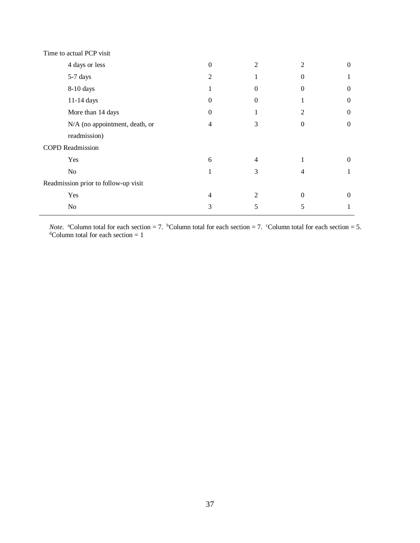| Time to actual PCP visit             |                |   |              |                  |
|--------------------------------------|----------------|---|--------------|------------------|
| 4 days or less                       | $\theta$       | 2 | 2            | $\overline{0}$   |
| 5-7 days                             | $\overline{2}$ | 1 | $\Omega$     |                  |
| 8-10 days                            | T              | 0 | $\theta$     | $\overline{0}$   |
| 11-14 days                           | 0              | 0 |              | $\theta$         |
| More than 14 days                    | $\theta$       |   | 2            | $\overline{0}$   |
| N/A (no appointment, death, or       | 4              | 3 | $\mathbf{0}$ | $\boldsymbol{0}$ |
| readmission)                         |                |   |              |                  |
| <b>COPD</b> Readmission              |                |   |              |                  |
| Yes                                  | 6              | 4 | 1            | $\overline{0}$   |
| N <sub>o</sub>                       |                | 3 | 4            |                  |
| Readmission prior to follow-up visit |                |   |              |                  |
| Yes                                  | 4              | 2 | $\Omega$     | $\boldsymbol{0}$ |
| No                                   | 3              | 5 | 5            |                  |

*Note*. <sup>a</sup>Column total for each section = 7. <sup>b</sup>Column total for each section = 7. °Column total for each section = 5.  $d$ Column total for each section = 1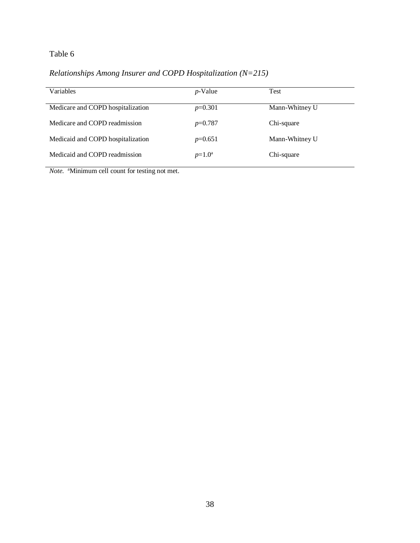## *Relationships Among Insurer and COPD Hospitalization (N=215)*

| <b>Variables</b>                  | $p$ -Value | Test           |
|-----------------------------------|------------|----------------|
| Medicare and COPD hospitalization | $p=0.301$  | Mann-Whitney U |
| Medicare and COPD readmission     | $p=0.787$  | Chi-square     |
| Medicaid and COPD hospitalization | $p=0.651$  | Mann-Whitney U |
| Medicaid and COPD readmission     | $p=1.0^a$  | Chi-square     |

Note. <sup>a</sup>Minimum cell count for testing not met.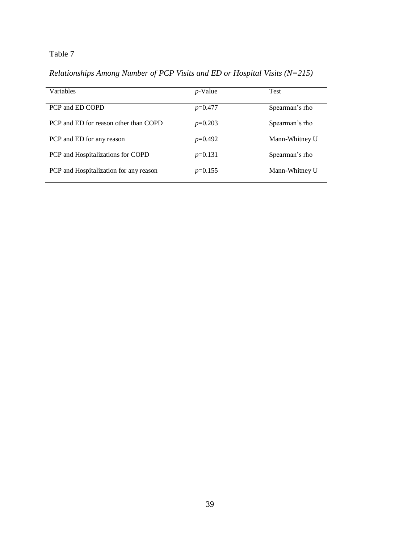*Relationships Among Number of PCP Visits and ED or Hospital Visits (N=215)*

| Variables                              | <i>p</i> -Value | <b>Test</b>    |
|----------------------------------------|-----------------|----------------|
| PCP and ED COPD                        | $p=0.477$       | Spearman's rho |
| PCP and ED for reason other than COPD  | $p=0.203$       | Spearman's rho |
| PCP and ED for any reason              | $p=0.492$       | Mann-Whitney U |
| PCP and Hospitalizations for COPD      | $p=0.131$       | Spearman's rho |
| PCP and Hospitalization for any reason | $p=0.155$       | Mann-Whitney U |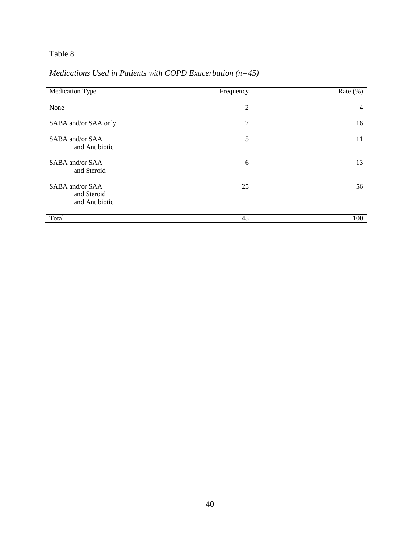## *Medications Used in Patients with COPD Exacerbation (n=45)*

| Medication Type                                  | Frequency      | Rate $(\%)$    |
|--------------------------------------------------|----------------|----------------|
| None                                             | $\overline{2}$ | $\overline{4}$ |
| SABA and/or SAA only                             | 7              | 16             |
| SABA and/or SAA<br>and Antibiotic                | 5              | 11             |
| SABA and/or SAA<br>and Steroid                   | 6              | 13             |
| SABA and/or SAA<br>and Steroid<br>and Antibiotic | 25             | 56             |
| Total                                            | 45             | 100            |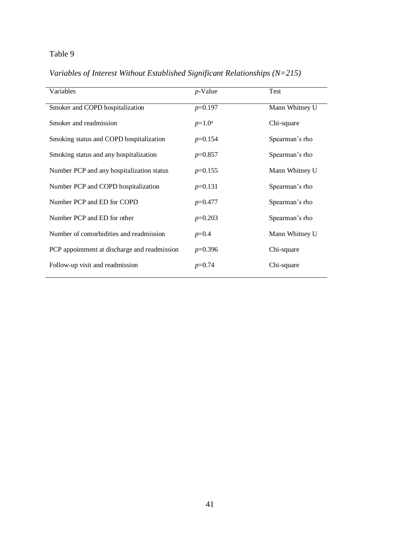*Variables of Interest Without Established Significant Relationships (N=215)*

| Variables                                    | $p$ -Value | Test           |
|----------------------------------------------|------------|----------------|
|                                              |            |                |
| Smoker and COPD hospitalization              | $p=0.197$  | Mann Whitney U |
| Smoker and readmission                       | $p=1.0^a$  | Chi-square     |
| Smoking status and COPD hospitalization      | $p=0.154$  | Spearman's rho |
| Smoking status and any hospitalization       | $p=0.857$  | Spearman's rho |
| Number PCP and any hospitalization status    | $p=0.155$  | Mann Whitney U |
| Number PCP and COPD hospitalization          | $p=0.131$  | Spearman's rho |
| Number PCP and ED for COPD                   | $p=0.477$  | Spearman's rho |
| Number PCP and ED for other                  | $p=0.203$  | Spearman's rho |
| Number of comorbidities and readmission      | $p=0.4$    | Mann Whitney U |
| PCP appointment at discharge and readmission | $p=0.396$  | Chi-square     |
| Follow-up visit and readmission              | $p=0.74$   | Chi-square     |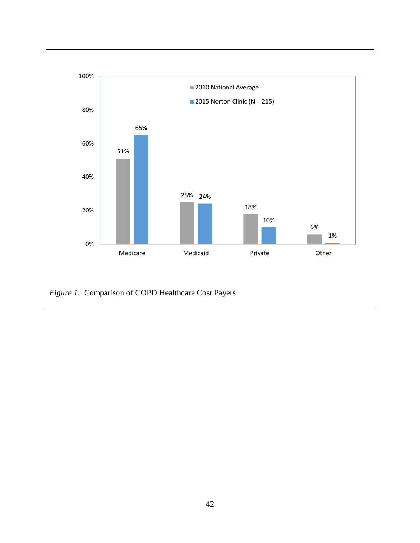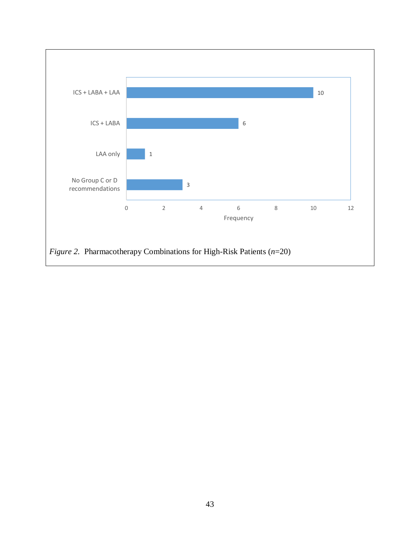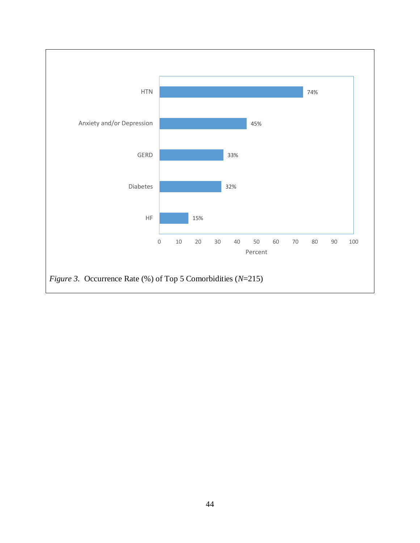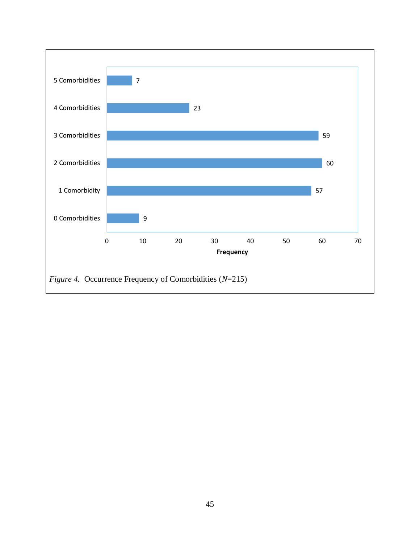